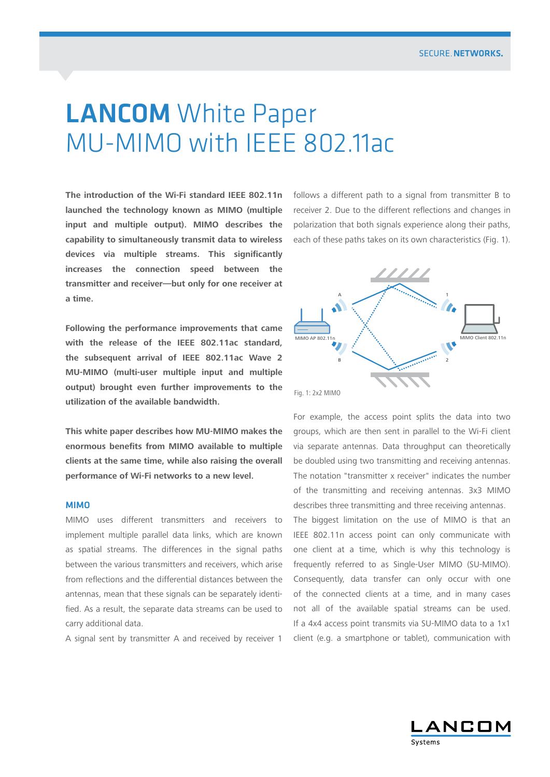# **LANCOM** White Paper MU-MIMO with IEEE 802.11ac

**The introduction of the Wi-Fi standard IEEE 802.11n launched the technology known as MIMO (multiple input and multiple output). MIMO describes the capability to simultaneously transmit data to wireless devices via multiple streams. This significantly increases the connection speed between the transmitter and receiver—but only for one receiver at a time.**

**Following the performance improvements that came with the release of the IEEE 802.11ac standard, the subsequent arrival of IEEE 802.11ac Wave 2 MU-MIMO (multi-user multiple input and multiple output) brought even further improvements to the utilization of the available bandwidth.** 

**This white paper describes how MU-MIMO makes the enormous benefits from MIMO available to multiple clients at the same time, while also raising the overall performance of Wi-Fi networks to a new level.**

## MIMO

MIMO uses different transmitters and receivers to implement multiple parallel data links, which are known as spatial streams. The differences in the signal paths between the various transmitters and receivers, which arise from reflections and the differential distances between the antennas, mean that these signals can be separately identified. As a result, the separate data streams can be used to carry additional data.

A signal sent by transmitter A and received by receiver 1

follows a different path to a signal from transmitter B to receiver 2. Due to the different reflections and changes in polarization that both signals experience along their paths, each of these paths takes on its own characteristics (Fig. 1).



For example, the access point splits the data into two groups, which are then sent in parallel to the Wi-Fi client via separate antennas. Data throughput can theoretically be doubled using two transmitting and receiving antennas. The notation "transmitter x receiver" indicates the number of the transmitting and receiving antennas. 3x3 MIMO describes three transmitting and three receiving antennas. The biggest limitation on the use of MIMO is that an IEEE 802.11n access point can only communicate with one client at a time, which is why this technology is frequently referred to as Single-User MIMO (SU-MIMO). Consequently, data transfer can only occur with one of the connected clients at a time, and in many cases not all of the available spatial streams can be used. If a 4x4 access point transmits via SU-MIMO data to a 1x1 client (e.g. a smartphone or tablet), communication with

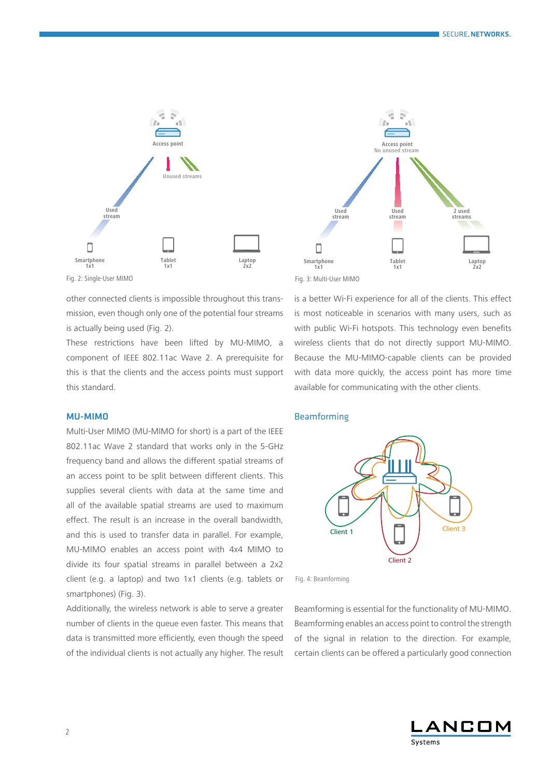



Fig. 2: Single-User MIMO

other connected clients is impossible throughout this transmission, even though only one of the potential four streams is actually being used (Fig. 2).

These restrictions have been lifted by MU-MIMO, a component of IEEE 802.11ac Wave 2. A prerequisite for this is that the clients and the access points must support this standard.

## MU-MIMO

Multi-User MIMO (MU-MIMO for short) is a part of the IEEE 802.11ac Wave 2 standard that works only in the 5-GHz frequency band and allows the different spatial streams of an access point to be split between different clients. This supplies several clients with data at the same time and all of the available spatial streams are used to maximum effect. The result is an increase in the overall bandwidth, and this is used to transfer data in parallel. For example, MU-MIMO enables an access point with 4x4 MIMO to divide its four spatial streams in parallel between a 2x2 client (e.g. a laptop) and two 1x1 clients (e.g. tablets or smartphones) (Fig. 3).

Additionally, the wireless network is able to serve a greater number of clients in the queue even faster. This means that data is transmitted more efficiently, even though the speed of the individual clients is not actually any higher. The result is a better Wi-Fi experience for all of the clients. This effect is most noticeable in scenarios with many users, such as with public Wi-Fi hotspots. This technology even benefits wireless clients that do not directly support MU-MIMO. Because the MU-MIMO-capable clients can be provided with data more quickly, the access point has more time available for communicating with the other clients.

#### **Beamforming**



Fig. 4: Beamforming

Beamforming is essential for the functionality of MU-MIMO. Beamforming enables an access point to control the strength of the signal in relation to the direction. For example, certain clients can be offered a particularly good connection

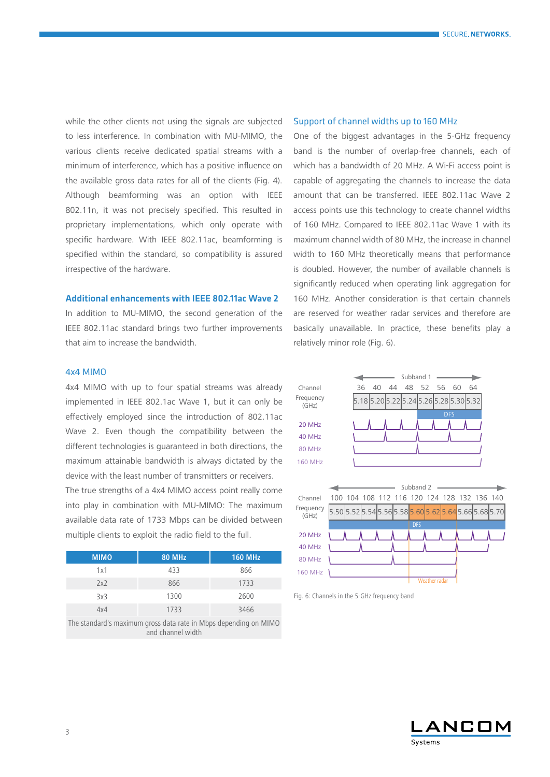while the other clients not using the signals are subjected to less interference. In combination with MU-MIMO, the various clients receive dedicated spatial streams with a minimum of interference, which has a positive influence on the available gross data rates for all of the clients (Fig. 4). Although beamforming was an option with IEEE 802.11n, it was not precisely specified. This resulted in proprietary implementations, which only operate with specific hardware. With IEEE 802.11ac, beamforming is specified within the standard, so compatibility is assured irrespective of the hardware.

# Additional enhancements with IEEE 802.11ac Wave 2

In addition to MU-MIMO, the second generation of the IEEE 802.11ac standard brings two further improvements that aim to increase the bandwidth.

## 4x4 MIMO

4x4 MIMO with up to four spatial streams was already implemented in IEEE 802.1ac Wave 1, but it can only be effectively employed since the introduction of 802.11ac Wave 2. Even though the compatibility between the different technologies is guaranteed in both directions, the maximum attainable bandwidth is always dictated by the device with the least number of transmitters or receivers. The true strengths of a 4x4 MIMO access point really come into play in combination with MU-MIMO: The maximum

available data rate of 1733 Mbps can be divided between multiple clients to exploit the radio field to the full.

| <b>MIMO</b> | <b>80 MHz</b> | <b>160 MHz</b> |
|-------------|---------------|----------------|
| 1x1         | 433           | 866            |
| 2x2         | 866           | 1733           |
| 3x3         | 1300          | 2600           |
| 4x4         | 1733          | 3466           |

The standard's maximum gross data rate in Mbps depending on MIMO and channel width

#### Support of channel widths up to 160 MHz

One of the biggest advantages in the 5-GHz frequency band is the number of overlap-free channels, each of which has a bandwidth of 20 MHz. A Wi-Fi access point is capable of aggregating the channels to increase the data amount that can be transferred. IEEE 802.11ac Wave 2 access points use this technology to create channel widths of 160 MHz. Compared to IEEE 802.11ac Wave 1 with its maximum channel width of 80 MHz, the increase in channel width to 160 MHz theoretically means that performance is doubled. However, the number of available channels is significantly reduced when operating link aggregation for 160 MHz. Another consideration is that certain channels are reserved for weather radar services and therefore are basically unavailable. In practice, these benefits play a relatively minor role (Fig. 6).



Fig. 6: Channels in the 5-GHz frequency band